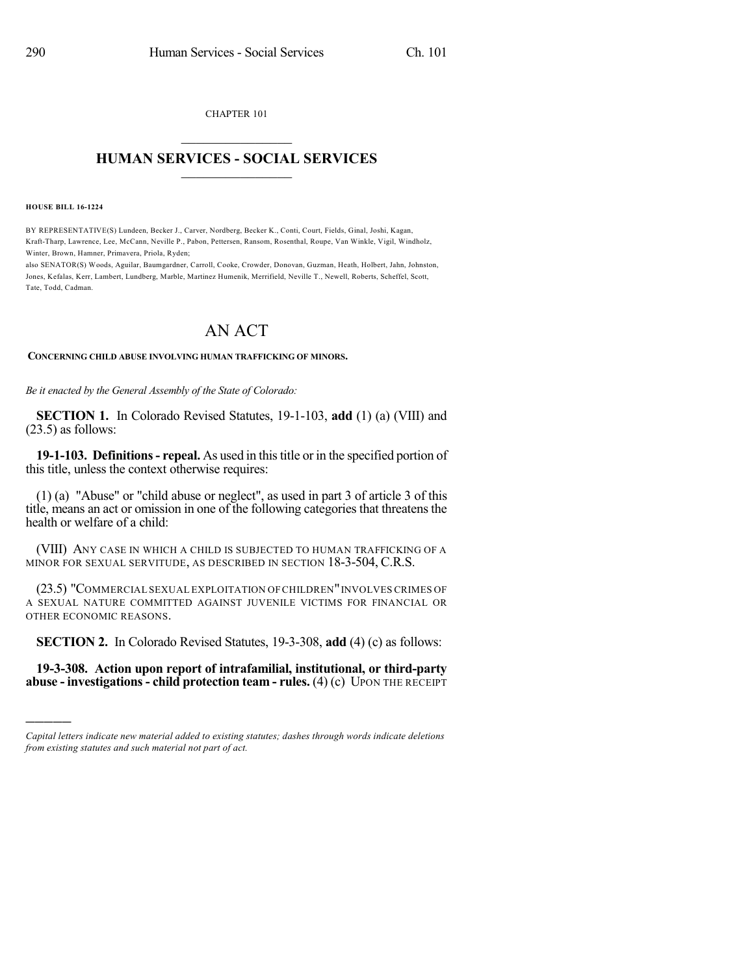CHAPTER 101  $\mathcal{L}_\text{max}$  . The set of the set of the set of the set of the set of the set of the set of the set of the set of the set of the set of the set of the set of the set of the set of the set of the set of the set of the set

## **HUMAN SERVICES - SOCIAL SERVICES**  $\frac{1}{2}$  ,  $\frac{1}{2}$  ,  $\frac{1}{2}$  ,  $\frac{1}{2}$  ,  $\frac{1}{2}$  ,  $\frac{1}{2}$

**HOUSE BILL 16-1224**

)))))

BY REPRESENTATIVE(S) Lundeen, Becker J., Carver, Nordberg, Becker K., Conti, Court, Fields, Ginal, Joshi, Kagan, Kraft-Tharp, Lawrence, Lee, McCann, Neville P., Pabon, Pettersen, Ransom, Rosenthal, Roupe, Van Winkle, Vigil, Windholz, Winter, Brown, Hamner, Primavera, Priola, Ryden;

also SENATOR(S) Woods, Aguilar, Baumgardner, Carroll, Cooke, Crowder, Donovan, Guzman, Heath, Holbert, Jahn, Johnston, Jones, Kefalas, Kerr, Lambert, Lundberg, Marble, Martinez Humenik, Merrifield, Neville T., Newell, Roberts, Scheffel, Scott, Tate, Todd, Cadman.

## AN ACT

## **CONCERNING CHILD ABUSE INVOLVING HUMAN TRAFFICKING OF MINORS.**

*Be it enacted by the General Assembly of the State of Colorado:*

**SECTION 1.** In Colorado Revised Statutes, 19-1-103, **add** (1) (a) (VIII) and (23.5) as follows:

**19-1-103. Definitions- repeal.** As used in thistitle or in the specified portion of this title, unless the context otherwise requires:

(1) (a) "Abuse" or "child abuse or neglect", as used in part 3 of article 3 of this title, means an act or omission in one of the following categories that threatens the health or welfare of a child:

(VIII) ANY CASE IN WHICH A CHILD IS SUBJECTED TO HUMAN TRAFFICKING OF A MINOR FOR SEXUAL SERVITUDE, AS DESCRIBED IN SECTION 18-3-504, C.R.S.

(23.5) "COMMERCIAL SEXUAL EXPLOITATION OF CHILDREN"INVOLVES CRIMES OF A SEXUAL NATURE COMMITTED AGAINST JUVENILE VICTIMS FOR FINANCIAL OR OTHER ECONOMIC REASONS.

**SECTION 2.** In Colorado Revised Statutes, 19-3-308, **add** (4) (c) as follows:

**19-3-308. Action upon report of intrafamilial, institutional, or third-party abuse - investigations - child protection team - rules.** (4) (c) UPON THE RECEIPT

*Capital letters indicate new material added to existing statutes; dashes through words indicate deletions from existing statutes and such material not part of act.*